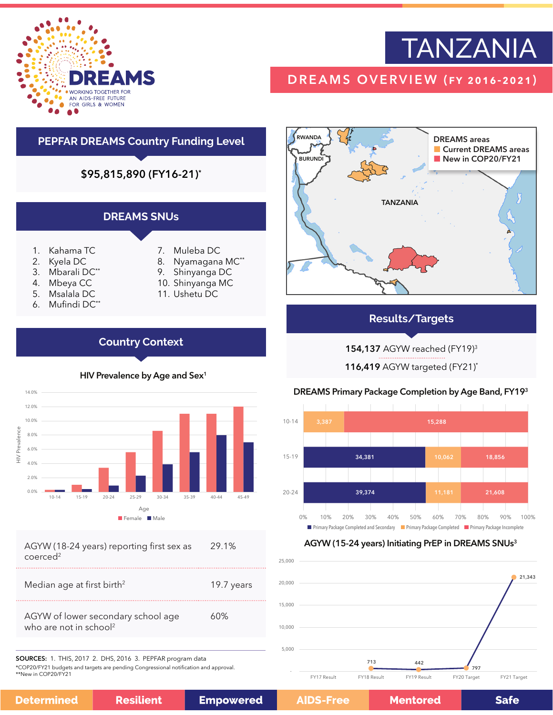

# TANZANIA

# DREAMS OVERVIEW (fy 2016-2021)





# **Results/Targets**

154,137 AGYW reached (FY19)3

116,419 AGYW targeted (FY21)\*

# DREAMS Primary Package Completion by Age Band, FY193



# AGYW (15-24 years) Initiating PrEP in DREAMS SNUs<sup>3</sup>





AGYW (18-24 years) reporting first sex as coerced<sup>2</sup> 29.1%

| AGYW of lower secondary school age<br>ለበ% | Median age at first birth <sup>2</sup> | 19.7 years |
|-------------------------------------------|----------------------------------------|------------|
|                                           | who are not in school <sup>2</sup>     |            |

SOURCES: 1. THIS, 2017 2. DHS, 2016 3. PEPFAR program data \*COP20/FY21 budgets and targets are pending Congressional notification and approval. \*\*New in COP20/FY21

**Mentored** 

**Safe**